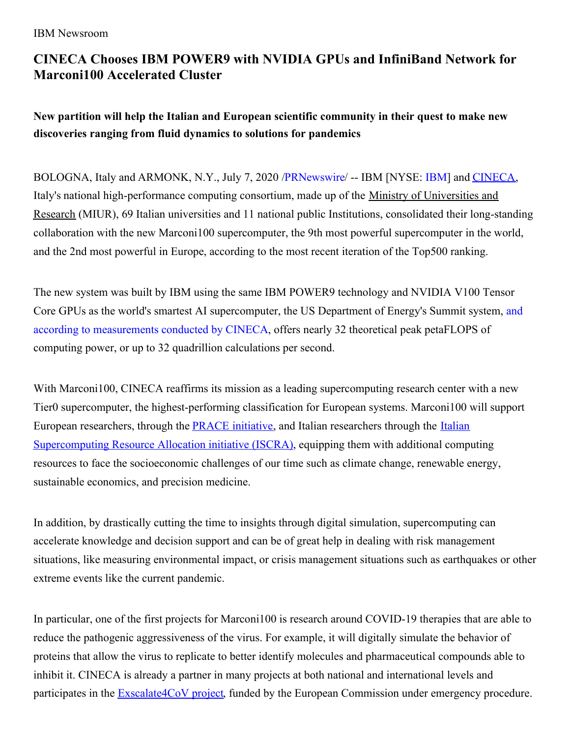## **CINECA Chooses IBM POWER9 with NVIDIA GPUs and InfiniBand Network for Marconi100 Accelerated Cluster**

**New partition will help the Italian and European scientific community in their quest to make new discoveries ranging from fluid dynamics to solutions for pandemics**

BOLOGNA, Italy and ARMONK, N.Y., July 7, 2020 [/PRNewswire](http://www.prnewswire.com/)/ -- IBM [NYSE: [IBM](https://c212.net/c/link/?t=0&l=en&o=2849742-1&h=829862894&u=http%3A%2F%2Fwww.ibm.com%2Finvestor&a=IBM)] and [CINECA](https://c212.net/c/link/?t=0&l=en&o=2849742-1&h=1008965465&u=https%3A%2F%2Fwww.cineca.it%2Fen&a=CINECA), Italy's national high-performance computing consortium, made up of the Ministry of Universities and Research (MIUR), 69 Italian universities and 11 national public Institutions, consolidated their long-standing collaboration with the new Marconi100 supercomputer, the 9th most powerful supercomputer in the world, and the 2nd most powerful in Europe, according to the most recent iteration of the Top500 ranking.

The new system was built by IBM using the same IBM POWER9 technology and NVIDIA V100 Tensor Core GPUs as the world's smartest AI [supercomputer,](https://c212.net/c/link/?t=0&l=en&o=2849742-1&h=109986103&u=https%3A%2F%2Fwiki.u-gov.it%2Fconfluence%2Fpages%2Fviewpage.action%3FpageId%3D336727645&a=and+according+to+measurements+conducted+by+CINECA) the US Department of Energy's Summit system, and according to measurements conducted by CINECA, offers nearly 32 theoretical peak petaFLOPS of computing power, or up to 32 quadrillion calculations per second.

With Marconi100, CINECA reaffirms its mission as a leading supercomputing research center with a new Tier0 supercomputer, the highest-performing classification for European systems. Marconi100 will support European researchers, through the [PRACE](https://c212.net/c/link/?t=0&l=en&o=2849742-1&h=3770414937&u=https%3A%2F%2Fprace-ri.eu%2F&a=PRACE) [initiative](https://c212.net/c/link/?t=0&l=en&o=2849742-1&h=3265014141&u=https%3A%2F%2Fprace-ri.eu%2F&a=%C2%A0initiative), and Italian researchers through the Italian [Supercomputing](https://c212.net/c/link/?t=0&l=en&o=2849742-1&h=630776488&u=http%3A%2F%2Fwww.hpc.cineca.it%2Fservices%2Fiscra&a=Italian+Supercomputing+Resource+Allocation+initiative+(ISCRA)) Resource Allocation initiative (ISCRA), equipping them with additional computing resources to face the socioeconomic challenges of our time such as climate change, renewable energy, sustainable economics, and precision medicine.

In addition, by drastically cutting the time to insights through digital simulation, supercomputing can accelerate knowledge and decision support and can be of great help in dealing with risk management situations, like measuring environmental impact, or crisis management situations such as earthquakes or other extreme events like the current pandemic.

In particular, one of the first projects for Marconi100 is research around COVID-19 therapies that are able to reduce the pathogenic aggressiveness of the virus. For example, it will digitally simulate the behavior of proteins that allow the virus to replicate to better identify molecules and pharmaceutical compounds able to inhibit it. CINECA is already a partner in many projects at both national and international levels and participates in the **[Exscalate4CoV](https://c212.net/c/link/?t=0&l=en&o=2849742-1&h=2140690676&u=https%3A%2F%2Fwww.exscalate4cov.eu%2F&a=Exscalate4CoV+project)** project, funded by the European Commission under emergency procedure.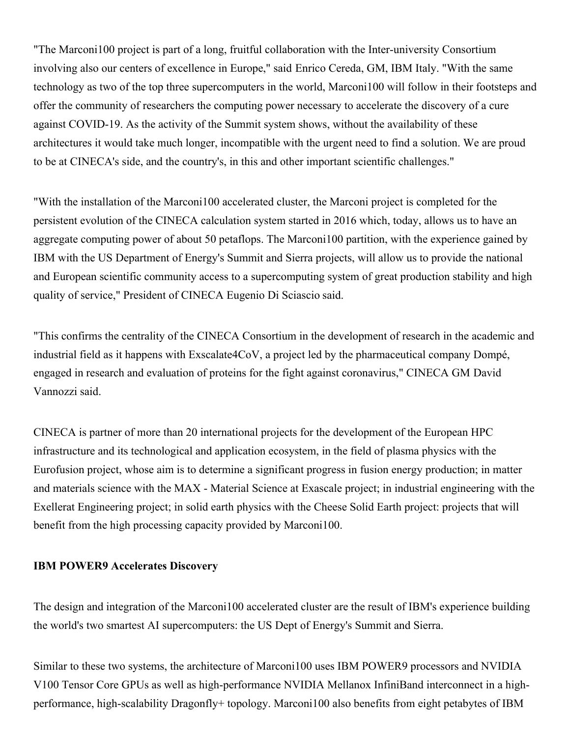"The Marconi100 project is part of a long, fruitful collaboration with the Inter-university Consortium involving also our centers of excellence in Europe," said Enrico Cereda, GM, IBM Italy. "With the same technology as two of the top three supercomputers in the world, Marconi100 will follow in their footsteps and offer the community of researchers the computing power necessary to accelerate the discovery of a cure against COVID-19. As the activity of the Summit system shows, without the availability of these architectures it would take much longer, incompatible with the urgent need to find a solution. We are proud to be at CINECA's side, and the country's, in this and other important scientific challenges."

"With the installation of the Marconi100 accelerated cluster, the Marconi project is completed for the persistent evolution of the CINECA calculation system started in 2016 which, today, allows us to have an aggregate computing power of about 50 petaflops. The Marconi100 partition, with the experience gained by IBM with the US Department of Energy's Summit and Sierra projects, will allow us to provide the national and European scientific community access to a supercomputing system of great production stability and high quality of service," President of CINECA Eugenio Di Sciascio said.

"This confirms the centrality of the CINECA Consortium in the development of research in the academic and industrial field as it happens with Exscalate4CoV, a project led by the pharmaceutical company Dompé, engaged in research and evaluation of proteins for the fight against coronavirus," CINECA GM David Vannozzi said.

CINECA is partner of more than 20 international projects for the development of the European HPC infrastructure and its technological and application ecosystem, in the field of plasma physics with the Eurofusion project, whose aim is to determine a significant progress in fusion energy production; in matter and materials science with the MAX - Material Science at Exascale project; in industrial engineering with the Exellerat Engineering project; in solid earth physics with the Cheese Solid Earth project: projects that will benefit from the high processing capacity provided by Marconi100.

## **IBM POWER9 Accelerates Discovery**

The design and integration of the Marconi100 accelerated cluster are the result of IBM's experience building the world's two smartest AI supercomputers: the US Dept of Energy's Summit and Sierra.

Similar to these two systems, the architecture of Marconi100 uses IBM POWER9 processors and NVIDIA V100 Tensor Core GPUs as well as high-performance NVIDIA Mellanox InfiniBand interconnect in a highperformance, high-scalability Dragonfly+ topology. Marconi100 also benefits from eight petabytes of IBM